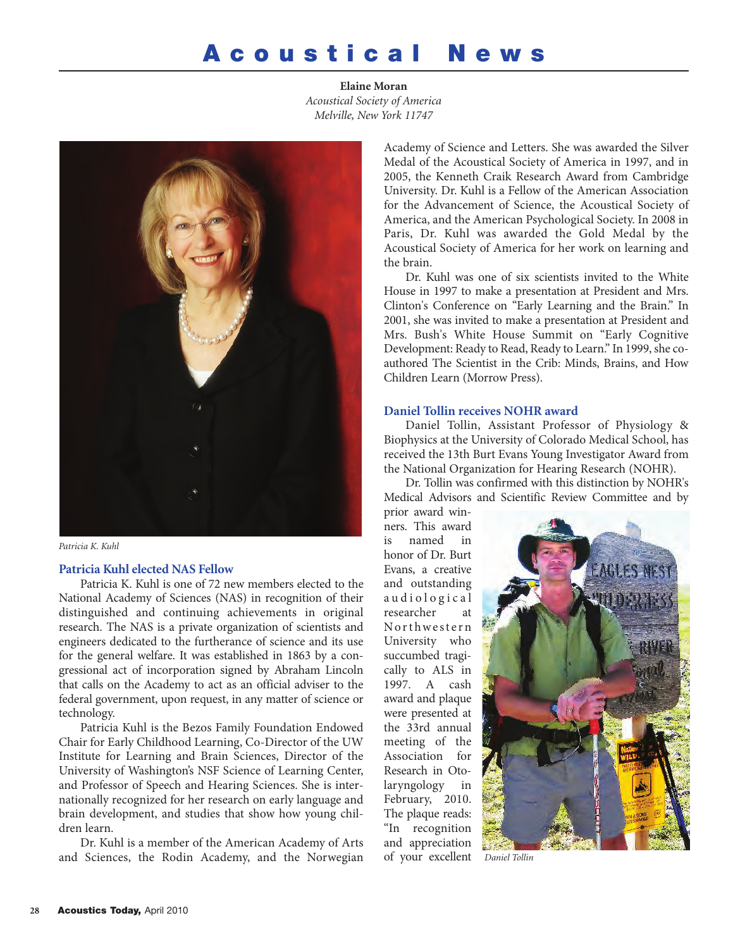# **Acoustical News**

**Elaine Moran** *Acoustical Society of America Melville, New York 11747*



*Patricia K. Kuhl*

#### **Patricia Kuhl elected NAS Fellow**

Patricia K. Kuhl is one of 72 new members elected to the National Academy of Sciences (NAS) in recognition of their distinguished and continuing achievements in original research. The NAS is a private organization of scientists and engineers dedicated to the furtherance of science and its use for the general welfare. It was established in 1863 by a congressional act of incorporation signed by Abraham Lincoln that calls on the Academy to act as an official adviser to the federal government, upon request, in any matter of science or technology.

Patricia Kuhl is the Bezos Family Foundation Endowed Chair for Early Childhood Learning, Co-Director of the UW Institute for Learning and Brain Sciences, Director of the University of Washington's NSF Science of Learning Center, and Professor of Speech and Hearing Sciences. She is internationally recognized for her research on early language and brain development, and studies that show how young children learn.

Dr. Kuhl is a member of the American Academy of Arts and Sciences, the Rodin Academy, and the Norwegian Academy of Science and Letters. She was awarded the Silver Medal of the Acoustical Society of America in 1997, and in 2005, the Kenneth Craik Research Award from Cambridge University. Dr. Kuhl is a Fellow of the American Association for the Advancement of Science, the Acoustical Society of America, and the American Psychological Society. In 2008 in Paris, Dr. Kuhl was awarded the Gold Medal by the Acoustical Society of America for her work on learning and the brain.

Dr. Kuhl was one of six scientists invited to the White House in 1997 to make a presentation at President and Mrs. Clinton's Conference on "Early Learning and the Brain." In 2001, she was invited to make a presentation at President and Mrs. Bush's White House Summit on "Early Cognitive Development: Ready to Read, Ready to Learn." In 1999, she coauthored The Scientist in the Crib: Minds, Brains, and How Children Learn (Morrow Press).

### **Daniel Tollin receives NOHR award**

Daniel Tollin, Assistant Professor of Physiology & Biophysics at the University of Colorado Medical School, has received the 13th Burt Evans Young Investigator Award from the National Organization for Hearing Research (NOHR).

Dr. Tollin was confirmed with this distinction by NOHR's Medical Advisors and Scientific Review Committee and by

prior award winners. This award is named in honor of Dr. Burt Evans, a creative and outstanding audiological researcher at Northwestern University who succumbed tragically to ALS in 1997. A cash award and plaque were presented at the 33rd annual meeting of the Association for Research in Otolaryngology in February, 2010. The plaque reads: "In recognition and appreciation of your excellent



*Daniel Tollin*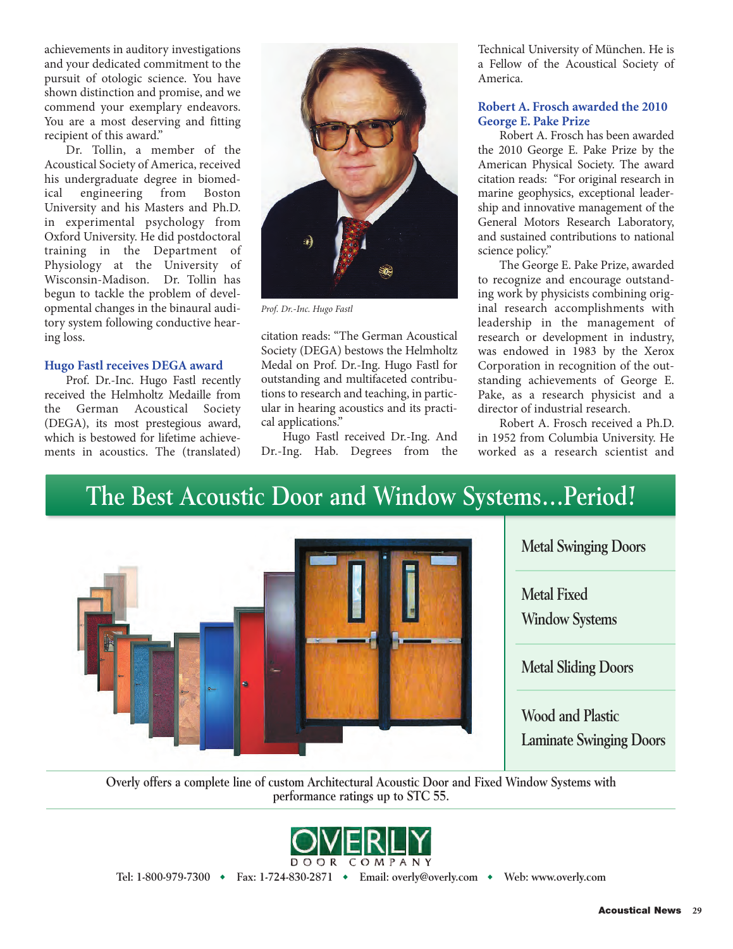achievements in auditory investigations and your dedicated commitment to the pursuit of otologic science. You have shown distinction and promise, and we commend your exemplary endeavors. You are a most deserving and fitting recipient of this award."

Dr. Tollin, a member of the Acoustical Society of America, received his undergraduate degree in biomedical engineering from Boston University and his Masters and Ph.D. in experimental psychology from Oxford University. He did postdoctoral training in the Department of Physiology at the University of Wisconsin-Madison. Dr. Tollin has begun to tackle the problem of developmental changes in the binaural auditory system following conductive hearing loss.

# **Hugo Fastl receives DEGA award**

Prof. Dr.-Inc. Hugo Fastl recently received the Helmholtz Medaille from the German Acoustical Society (DEGA), its most prestegious award, which is bestowed for lifetime achievements in acoustics. The (translated)



*Prof. Dr.-Inc. Hugo Fastl*

citation reads: "The German Acoustical Society (DEGA) bestows the Helmholtz Medal on Prof. Dr.-Ing. Hugo Fastl for outstanding and multifaceted contributions to research and teaching, in particular in hearing acoustics and its practical applications."

Hugo Fastl received Dr.-Ing. And Dr.-Ing. Hab. Degrees from the Technical University of München. He is a Fellow of the Acoustical Society of America.

# **Robert A. Frosch awarded the 2010 George E. Pake Prize**

Robert A. Frosch has been awarded the 2010 George E. Pake Prize by the American Physical Society. The award citation reads: "For original research in marine geophysics, exceptional leadership and innovative management of the General Motors Research Laboratory, and sustained contributions to national science policy."

The George E. Pake Prize, awarded to recognize and encourage outstanding work by physicists combining original research accomplishments with leadership in the management of research or development in industry, was endowed in 1983 by the Xerox Corporation in recognition of the outstanding achievements of George E. Pake, as a research physicist and a director of industrial research.

Robert A. Frosch received a Ph.D. in 1952 from Columbia University. He worked as a research scientist and

# **The Best Acoustic Door and Window Systems…Period!**



**Metal Swinging Doors**

**Metal Fixed Window Systems**

**Metal Sliding Doors**

**Wood and Plastic Laminate Swinging Doors**

**Overly offers a complete line of custom Architectural Acoustic Door and Fixed Window Systems with performance ratings up to STC 55.**



**Tel: 1-800-979-7300** ◆ **Fax: 1-724-830-2871** ◆ **Email: overly@overly.com** ◆ **Web: www.overly.com**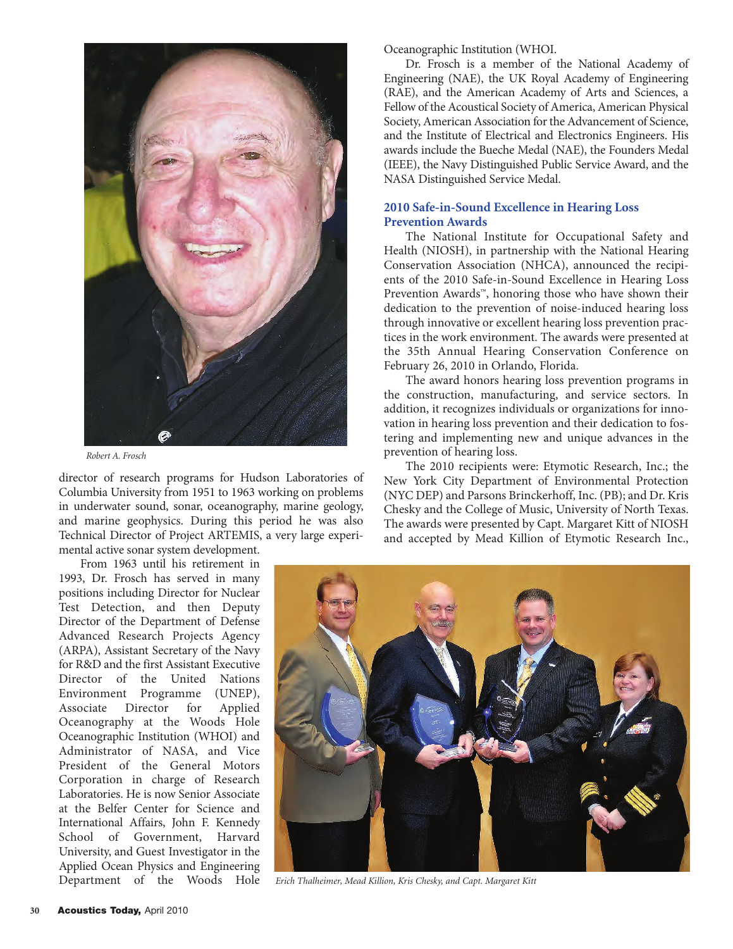

*Robert A. Frosch*

director of research programs for Hudson Laboratories of Columbia University from 1951 to 1963 working on problems in underwater sound, sonar, oceanography, marine geology, and marine geophysics. During this period he was also Technical Director of Project ARTEMIS, a very large experimental active sonar system development.

From 1963 until his retirement in 1993, Dr. Frosch has served in many positions including Director for Nuclear Test Detection, and then Deputy Director of the Department of Defense Advanced Research Projects Agency (ARPA), Assistant Secretary of the Navy for R&D and the first Assistant Executive Director of the United Nations Environment Programme (UNEP), Associate Director for Applied Oceanography at the Woods Hole Oceanographic Institution (WHOI) and Administrator of NASA, and Vice President of the General Motors Corporation in charge of Research Laboratories. He is now Senior Associate at the Belfer Center for Science and International Affairs, John F. Kennedy School of Government, Harvard University, and Guest Investigator in the Applied Ocean Physics and Engineering Department of the Woods Hole Oceanographic Institution (WHOI.

Dr. Frosch is a member of the National Academy of Engineering (NAE), the UK Royal Academy of Engineering (RAE), and the American Academy of Arts and Sciences, a Fellow of the Acoustical Society of America, American Physical Society, American Association for the Advancement of Science, and the Institute of Electrical and Electronics Engineers. His awards include the Bueche Medal (NAE), the Founders Medal (IEEE), the Navy Distinguished Public Service Award, and the NASA Distinguished Service Medal.

#### **2010 Safe-in-Sound Excellence in Hearing Loss Prevention Awards**

The National Institute for Occupational Safety and Health (NIOSH), in partnership with the National Hearing Conservation Association (NHCA), announced the recipients of the 2010 Safe-in-Sound Excellence in Hearing Loss Prevention Awards™, honoring those who have shown their dedication to the prevention of noise-induced hearing loss through innovative or excellent hearing loss prevention practices in the work environment. The awards were presented at the 35th Annual Hearing Conservation Conference on February 26, 2010 in Orlando, Florida.

The award honors hearing loss prevention programs in the construction, manufacturing, and service sectors. In addition, it recognizes individuals or organizations for innovation in hearing loss prevention and their dedication to fostering and implementing new and unique advances in the prevention of hearing loss.

The 2010 recipients were: Etymotic Research, Inc.; the New York City Department of Environmental Protection (NYC DEP) and Parsons Brinckerhoff, Inc. (PB); and Dr. Kris Chesky and the College of Music, University of North Texas. The awards were presented by Capt. Margaret Kitt of NIOSH and accepted by Mead Killion of Etymotic Research Inc.,



*Erich Thalheimer, Mead Killion, Kris Chesky, and Capt. Margaret Kitt*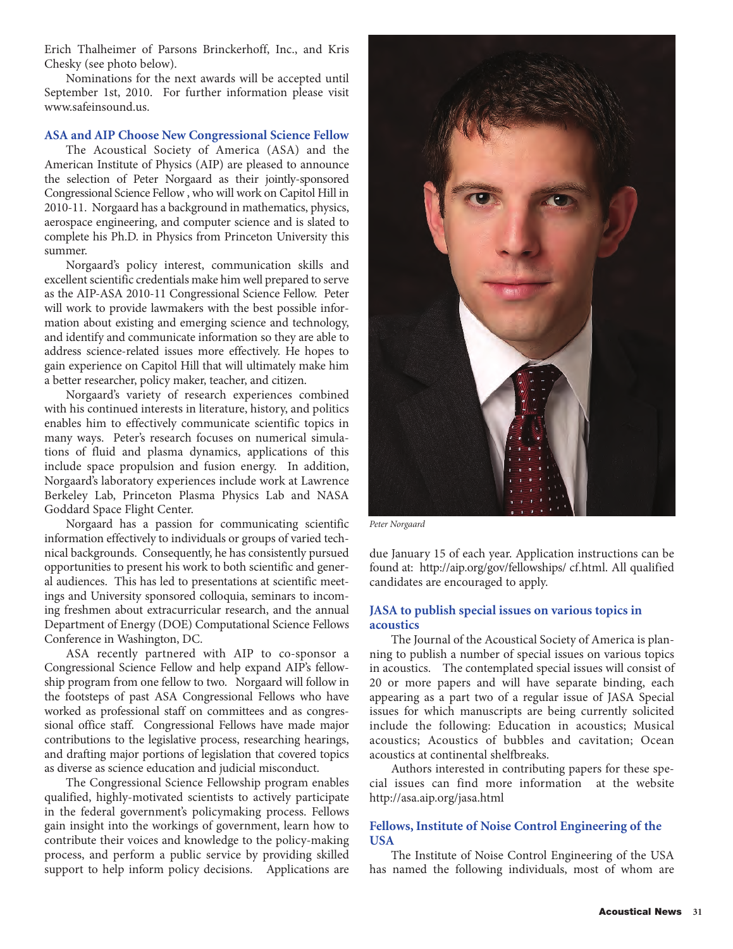Erich Thalheimer of Parsons Brinckerhoff, Inc., and Kris Chesky (see photo below).

Nominations for the next awards will be accepted until September 1st, 2010. For further information please visit www.safeinsound.us.

#### **ASA and AIP Choose New Congressional Science Fellow**

The Acoustical Society of America (ASA) and the American Institute of Physics (AIP) are pleased to announce the selection of Peter Norgaard as their jointly-sponsored Congressional Science Fellow , who will work on Capitol Hill in 2010-11. Norgaard has a background in mathematics, physics, aerospace engineering, and computer science and is slated to complete his Ph.D. in Physics from Princeton University this summer.

Norgaard's policy interest, communication skills and excellent scientific credentials make him well prepared to serve as the AIP-ASA 2010-11 Congressional Science Fellow. Peter will work to provide lawmakers with the best possible information about existing and emerging science and technology, and identify and communicate information so they are able to address science-related issues more effectively. He hopes to gain experience on Capitol Hill that will ultimately make him a better researcher, policy maker, teacher, and citizen.

Norgaard's variety of research experiences combined with his continued interests in literature, history, and politics enables him to effectively communicate scientific topics in many ways. Peter's research focuses on numerical simulations of fluid and plasma dynamics, applications of this include space propulsion and fusion energy. In addition, Norgaard's laboratory experiences include work at Lawrence Berkeley Lab, Princeton Plasma Physics Lab and NASA Goddard Space Flight Center.

Norgaard has a passion for communicating scientific information effectively to individuals or groups of varied technical backgrounds. Consequently, he has consistently pursued opportunities to present his work to both scientific and general audiences. This has led to presentations at scientific meetings and University sponsored colloquia, seminars to incoming freshmen about extracurricular research, and the annual Department of Energy (DOE) Computational Science Fellows Conference in Washington, DC.

ASA recently partnered with AIP to co-sponsor a Congressional Science Fellow and help expand AIP's fellowship program from one fellow to two. Norgaard will follow in the footsteps of past ASA Congressional Fellows who have worked as professional staff on committees and as congressional office staff. Congressional Fellows have made major contributions to the legislative process, researching hearings, and drafting major portions of legislation that covered topics as diverse as science education and judicial misconduct.

The Congressional Science Fellowship program enables qualified, highly-motivated scientists to actively participate in the federal government's policymaking process. Fellows gain insight into the workings of government, learn how to contribute their voices and knowledge to the policy-making process, and perform a public service by providing skilled support to help inform policy decisions. Applications are



*Peter Norgaard*

due January 15 of each year. Application instructions can be found at: http://aip.org/gov/fellowships/ cf.html. All qualified candidates are encouraged to apply.

#### **JASA to publish special issues on various topics in acoustics**

The Journal of the Acoustical Society of America is planning to publish a number of special issues on various topics in acoustics. The contemplated special issues will consist of 20 or more papers and will have separate binding, each appearing as a part two of a regular issue of JASA Special issues for which manuscripts are being currently solicited include the following: Education in acoustics; Musical acoustics; Acoustics of bubbles and cavitation; Ocean acoustics at continental shelfbreaks.

Authors interested in contributing papers for these special issues can find more information at the website http://asa.aip.org/jasa.html

### **Fellows, Institute of Noise Control Engineering of the USA**

The Institute of Noise Control Engineering of the USA has named the following individuals, most of whom are